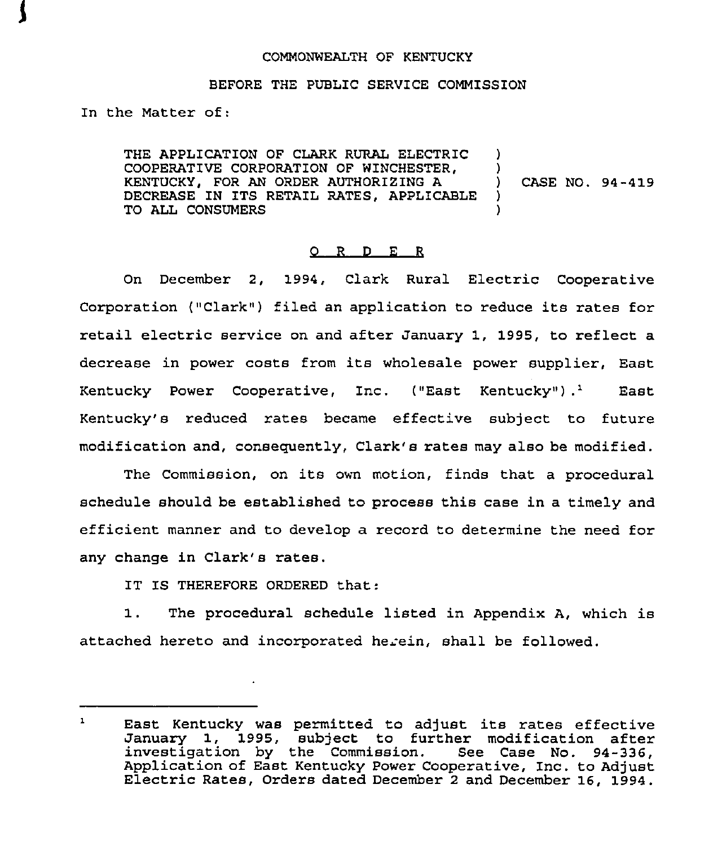#### COMMONWEALTH OF KENTUCKY

### BEFORE THE PUBLIC SERVICE COMMISSION

In the Matter of:

THE APPLICATION OF CLARK RURAL ELECTRIC )<br>COOPERATIVE CORPORATION OF WINCHESTER. COOPERATIVE CORPORATION OF WINCHESTER,  $\qquad$  )<br>KENTUCKY, FOR AN ORDER AUTHORIZING A KENTUCKY, FOR AN ORDER AUTHORIZING A )<br>DECREASE IN ITS RETAIL RATES, APPLICABLE ) DECREASE IN ITS RETAIL RATES, APPLICABLE TO ALL CONSUMERS CASE NO. 94-419

### 0 <sup>R</sup> <sup>D</sup> E <sup>R</sup>

On December 2, 1994, Clark Rural Electric Cooperative Corporation ("Clark") filed an application to reduce its rates for retail electric service on and after January 1, 1995, to reflect a decrease in power costs from its wholesale power supplier, East<br>Kentucky Power Cooperative, Inc. ("East Kentucky").<sup>1</sup> East Kentucky's reduced rates became effective subject to future modification and, consequently, Clark's rates may also be modified.

The Commission, on its own motion, finds that <sup>a</sup> procedural schedule should be established to process this case in a timely and efficient manner and to develop a record to determine the need for any change in Clark's rates.

IT IS THEREFORE ORDERED that:

1. The procedural schedule listed in Appendix A, which is attached hereto and incorporated herein, shall be followed.

 $\mathbf{1}$ East Kentucky was permitted to adjust its rates effective January 1, 1995, subject to further modification after<br>investigation by the Commission. See Case No. 94-336,<br>Application of East Kentucky Power Cooperative, Inc. to Adjust Electric Rates, Orders dated December 2 and December 16, 1994.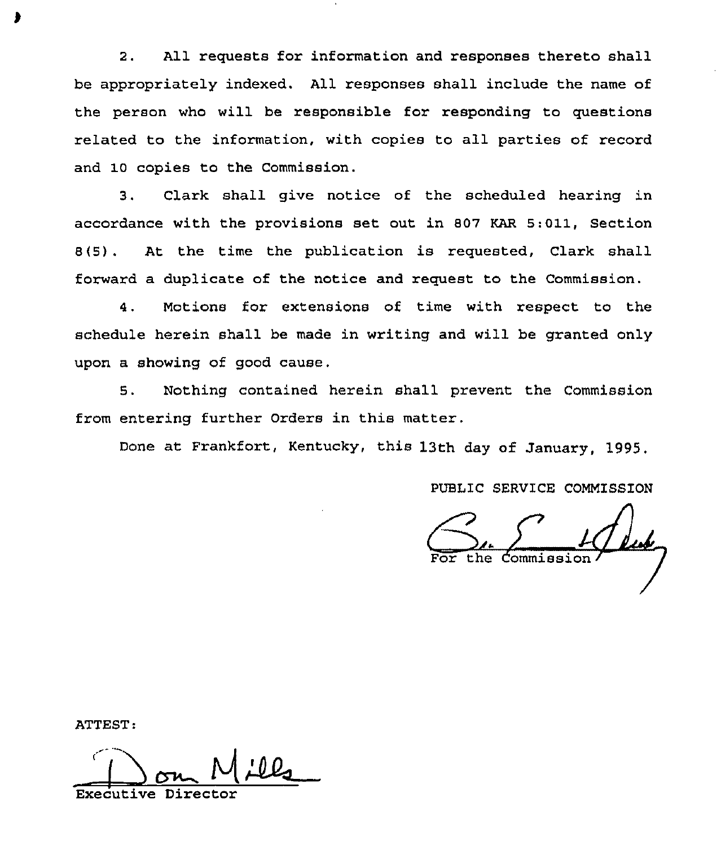2. All requests for information and responses thereto shall be appropriately indexed. All responses shall include the name of the person who will be responsible for responding to questions related to the information, with copies to all parties of record and 10 copies to the Commission.

3. Clark shall give notice of the scheduled hearing in accordance with the provisions set out in 807 KAR 5:011, Section 8(5). At the time the publication is requested, Clark shall forward a duplicate of the notice and request to the Commission.

4. Motions for extensions of time with respect to the schedule herein shall be made in writing and will be granted only upon a showing of good cause.

5. Nothing contained herein shall prevent the Commission from entering further Orders in this matter.

Done at Frankfort, Kentucky, this 13th day of January, 1995.

PUBLIC SERVICE COMMISSION

the Commission

ATTEST:

Executive